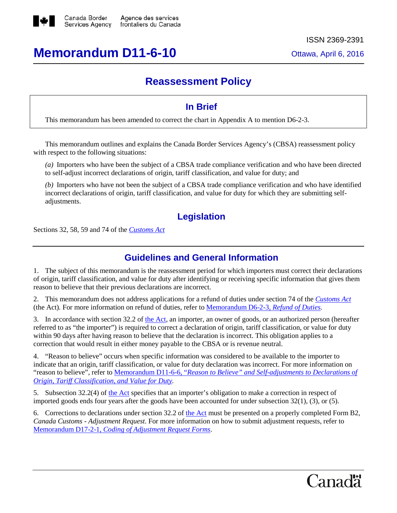

# **Memorandum D11-6-10** Ottawa, April 6, 2016

## **Reassessment Policy**

## **In Brief**

This memorandum has been amended to correct the chart in Appendix A to mention D6-2-3.

This memorandum outlines and explains the Canada Border Services Agency's (CBSA) reassessment policy with respect to the following situations:

*(a)* Importers who have been the subject of a CBSA trade compliance verification and who have been directed to self-adjust incorrect declarations of origin, tariff classification, and value for duty; and

*(b)* Importers who have not been the subject of a CBSA trade compliance verification and who have identified incorrect declarations of origin, tariff classification, and value for duty for which they are submitting selfadjustments.

## **Legislation**

Sections 32, 58, 59 and 74 of the *[Customs Act](http://laws-lois.justice.gc.ca/eng/acts/C-52.6/page-1.html)*

## **Guidelines and General Information**

1. The subject of this memorandum is the reassessment period for which importers must correct their declarations of origin, tariff classification, and value for duty after identifying or receiving specific information that gives them reason to believe that their previous declarations are incorrect.

2. This memorandum does not address applications for a refund of duties under section 74 of the *[Customs Act](http://laws-lois.justice.gc.ca/eng/acts/C-52.6/FullText.html)* (the Act)*.* For more information on refund of duties, refer to [Memorandum D6-2-3,](http://www.cbsa-asfc.gc.ca/publications/dm-md/d6/d6-2-3-eng.html) *Refund of Duties.*

3. In accordance with section 32.2 of [the Act,](http://laws-lois.justice.gc.ca/eng/acts/C-52.6/FullText.html) an importer, an owner of goods, or an authorized person (hereafter referred to as "the importer") is required to correct a declaration of origin, tariff classification, or value for duty within 90 days after having reason to believe that the declaration is incorrect. This obligation applies to a correction that would result in either money payable to the CBSA or is revenue neutral.

4. "Reason to believe" occurs when specific information was considered to be available to the importer to indicate that an origin, tariff classification, or value for duty declaration was incorrect. For more information on "reason to believe", refer to Memorandum D11-6-6, "*[Reason to Believe" and Self-adjustments to Declarations of](http://www.cbsa-asfc.gc.ca/publications/dm-md/d11/d11-6-6-eng.html)  [Origin, Tariff Classification, and Value for Duty.](http://www.cbsa-asfc.gc.ca/publications/dm-md/d11/d11-6-6-eng.html)*

5. Subsection 32.2(4) of [the Act](http://laws-lois.justice.gc.ca/eng/acts/C-52.6/FullText.html) specifies that an importer's obligation to make a correction in respect of imported goods ends four years after the goods have been accounted for under subsection 32(1), (3), or (5).

6. Corrections to declarations under section 32.2 of [the Act](http://laws-lois.justice.gc.ca/eng/acts/C-52.6/FullText.html) must be presented on a properly completed Form B2, *Canada Customs - Adjustment Request*. For more information on how to submit adjustment requests, refer to Memorandum D17-2-1, *[Coding of Adjustment Request Forms](http://www.cbsa-asfc.gc.ca/publications/dm-md/d17/d17-2-1-eng.html)*.

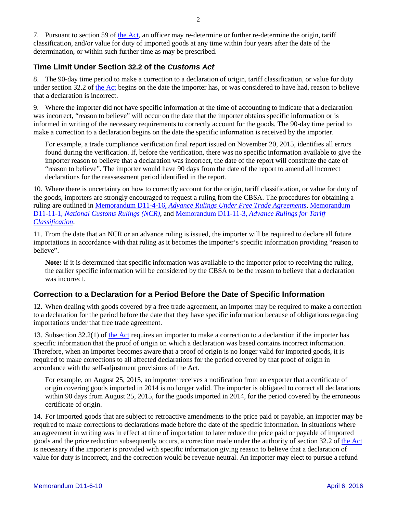7. Pursuant to section 59 o[f the Act,](http://laws-lois.justice.gc.ca/eng/acts/C-52.6/FullText.html) an officer may re-determine or further re-determine the origin, tariff classification, and/or value for duty of imported goods at any time within four years after the date of the determination, or within such further time as may be prescribed.

## **Time Limit Under Section 32.2 of the** *Customs Act*

8. The 90-day time period to make a correction to a declaration of origin, tariff classification, or value for duty under section 32.2 of [the Act](http://laws-lois.justice.gc.ca/eng/acts/C-52.6/FullText.html) begins on the date the importer has, or was considered to have had, reason to believe that a declaration is incorrect.

9. Where the importer did not have specific information at the time of accounting to indicate that a declaration was incorrect, "reason to believe" will occur on the date that the importer obtains specific information or is informed in writing of the necessary requirements to correctly account for the goods. The 90-day time period to make a correction to a declaration begins on the date the specific information is received by the importer.

For example, a trade compliance verification final report issued on November 20, 2015, identifies all errors found during the verification. If, before the verification, there was no specific information available to give the importer reason to believe that a declaration was incorrect, the date of the report will constitute the date of "reason to believe". The importer would have 90 days from the date of the report to amend all incorrect declarations for the reassessment period identified in the report.

10. Where there is uncertainty on how to correctly account for the origin, tariff classification, or value for duty of the goods, importers are strongly encouraged to request a ruling from the CBSA. The procedures for obtaining a ruling are outlined in Memorandum D11-4-16, *[Advance Rulings Under Free Trade Agreements](http://www.cbsa-asfc.gc.ca/publications/dm-md/d11/d11-4-16-eng.html)*, [Memorandum](http://www.cbsa-asfc.gc.ca/publications/dm-md/d11/d11-11-1-eng.html)  D11-11-1, *National [Customs Rulings](http://www.cbsa-asfc.gc.ca/publications/dm-md/d11/d11-11-1-eng.html) (NCR)*, and Memorandum D11-11-3, *[Advance Rulings for Tariff](http://www.cbsa-asfc.gc.ca/publications/dm-md/d11/d11-11-3-eng.html)  [Classification](http://www.cbsa-asfc.gc.ca/publications/dm-md/d11/d11-11-3-eng.html)*.

11. From the date that an NCR or an advance ruling is issued, the importer will be required to declare all future importations in accordance with that ruling as it becomes the importer's specific information providing "reason to believe".

**Note:** If it is determined that specific information was available to the importer prior to receiving the ruling, the earlier specific information will be considered by the CBSA to be the reason to believe that a declaration was incorrect.

## **Correction to a Declaration for a Period Before the Date of Specific Information**

12. When dealing with goods covered by a free trade agreement, an importer may be required to make a correction to a declaration for the period before the date that they have specific information because of obligations regarding importations under that free trade agreement.

13. Subsection 32.2(1) of [the Act](http://laws-lois.justice.gc.ca/eng/acts/C-52.6/FullText.html) requires an importer to make a correction to a declaration if the importer has specific information that the proof of origin on which a declaration was based contains incorrect information. Therefore, when an importer becomes aware that a proof of origin is no longer valid for imported goods, it is required to make corrections to all affected declarations for the period covered by that proof of origin in accordance with the self-adjustment provisions of the Act*.*

For example, on August 25, 2015, an importer receives a notification from an exporter that a certificate of origin covering goods imported in 2014 is no longer valid. The importer is obligated to correct all declarations within 90 days from August 25, 2015, for the goods imported in 2014, for the period covered by the erroneous certificate of origin.

14. For imported goods that are subject to retroactive amendments to the price paid or payable, an importer may be required to make corrections to declarations made before the date of the specific information. In situations where an agreement in writing was in effect at time of importation to later reduce the price paid or payable of imported goods and the price reduction subsequently occurs, a correction made under the authority of section 32.2 of [the Act](http://laws-lois.justice.gc.ca/eng/acts/C-52.6/FullText.html) is necessary if the importer is provided with specific information giving reason to believe that a declaration of value for duty is incorrect, and the correction would be revenue neutral. An importer may elect to pursue a refund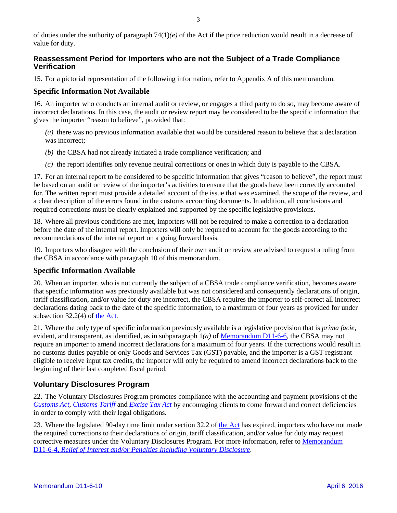of duties under the authority of paragraph 74(1)*(e)* of the Act if the price reduction would result in a decrease of value for duty.

## **Reassessment Period for Importers who are not the Subject of a Trade Compliance Verification**

15. For a pictorial representation of the following information, refer to Appendix A of this memorandum.

#### **Specific Information Not Available**

16. An importer who conducts an internal audit or review, or engages a third party to do so, may become aware of incorrect declarations. In this case, the audit or review report may be considered to be the specific information that gives the importer "reason to believe", provided that:

*(a)* there was no previous information available that would be considered reason to believe that a declaration was incorrect;

- *(b)* the CBSA had not already initiated a trade compliance verification; and
- *(c)* the report identifies only revenue neutral corrections or ones in which duty is payable to the CBSA.

17. For an internal report to be considered to be specific information that gives "reason to believe", the report must be based on an audit or review of the importer's activities to ensure that the goods have been correctly accounted for. The written report must provide a detailed account of the issue that was examined, the scope of the review, and a clear description of the errors found in the customs accounting documents. In addition, all conclusions and required corrections must be clearly explained and supported by the specific legislative provisions.

18. Where all previous conditions are met, importers will not be required to make a correction to a declaration before the date of the internal report. Importers will only be required to account for the goods according to the recommendations of the internal report on a going forward basis.

19. Importers who disagree with the conclusion of their own audit or review are advised to request a ruling from the CBSA in accordance with paragraph 10 of this memorandum.

#### **Specific Information Available**

20. When an importer, who is not currently the subject of a CBSA trade compliance verification, becomes aware that specific information was previously available but was not considered and consequently declarations of origin, tariff classification, and/or value for duty are incorrect, the CBSA requires the importer to self-correct all incorrect declarations dating back to the date of the specific information, to a maximum of four years as provided for under subsection 32.2(4) of [the Act](http://laws-lois.justice.gc.ca/eng/acts/C-52.6/FullText.html)*.*

21. Where the only type of specific information previously available is a legislative provision that is *prima facie*, evident, and transparent, as identified, as in subparagraph 1*(a)* of [Memorandum D11-6-6,](http://www.cbsa-asfc.gc.ca/publications/dm-md/d11/d11-6-6-eng.html) the CBSA may not require an importer to amend incorrect declarations for a maximum of four years. If the corrections would result in no customs duties payable or only Goods and Services Tax (GST) payable, and the importer is a GST registrant eligible to receive input tax credits, the importer will only be required to amend incorrect declarations back to the beginning of their last completed fiscal period.

## **Voluntary Disclosures Program**

22. The Voluntary Disclosures Program promotes compliance with the accounting and payment provisions of the *[Customs Act,](http://laws-lois.justice.gc.ca/eng/acts/C-52.6/page-1.html) [Customs Tariff](http://laws-lois.justice.gc.ca/eng/acts/c-54.011/page-1.html)* and *[Excise Tax Act](http://laws-lois.justice.gc.ca/eng/acts/e-15/page-1.html)* by encouraging clients to come forward and correct deficiencies in order to comply with their legal obligations.

23. Where the legislated 90-day time limit under section 32.2 of [the Act](http://laws-lois.justice.gc.ca/eng/acts/C-52.6/FullText.html) has expired, importers who have not made the required corrections to their declarations of origin, tariff classification, and/or value for duty may request corrective measures under the Voluntary Disclosures Program. For more information, refer to [Memorandum](http://www.cbsa-asfc.gc.ca/publications/dm-md/d11/d11-6-4-eng.html)  D11-6-4, *[Relief of Interest and/or Penalties Including Voluntary Disclosure](http://www.cbsa-asfc.gc.ca/publications/dm-md/d11/d11-6-4-eng.html)*.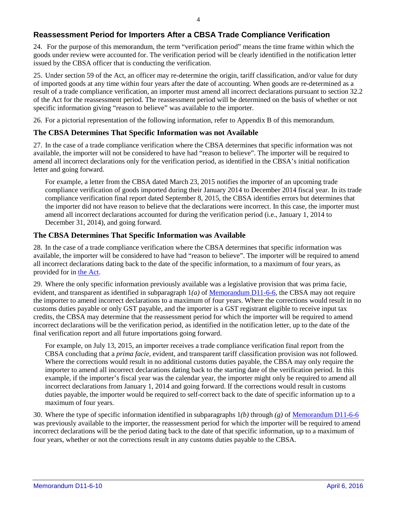## **Reassessment Period for Importers After a CBSA Trade Compliance Verification**

24. For the purpose of this memorandum, the term "verification period" means the time frame within which the goods under review were accounted for. The verification period will be clearly identified in the notification letter issued by the CBSA officer that is conducting the verification.

25. Under section 59 of the Act, an officer may re-determine the origin, tariff classification, and/or value for duty of imported goods at any time within four years after the date of accounting. When goods are re-determined as a result of a trade compliance verification, an importer must amend all incorrect declarations pursuant to section 32.2 of the Act for the reassessment period*.* The reassessment period will be determined on the basis of whether or not specific information giving "reason to believe" was available to the importer.

26. For a pictorial representation of the following information, refer to Appendix B of this memorandum.

## **The CBSA Determines That Specific Information was not Available**

27. In the case of a trade compliance verification where the CBSA determines that specific information was not available, the importer will not be considered to have had "reason to believe". The importer will be required to amend all incorrect declarations only for the verification period, as identified in the CBSA's initial notification letter and going forward.

For example, a letter from the CBSA dated March 23, 2015 notifies the importer of an upcoming trade compliance verification of goods imported during their January 2014 to December 2014 fiscal year. In its trade compliance verification final report dated September 8, 2015, the CBSA identifies errors but determines that the importer did not have reason to believe that the declarations were incorrect. In this case, the importer must amend all incorrect declarations accounted for during the verification period (i.e., January 1, 2014 to December 31, 2014), and going forward.

## **The CBSA Determines That Specific Information was Available**

28. In the case of a trade compliance verification where the CBSA determines that specific information was available, the importer will be considered to have had "reason to believe". The importer will be required to amend all incorrect declarations dating back to the date of the specific information, to a maximum of four years, as provided for in [the Act.](http://laws-lois.justice.gc.ca/eng/acts/C-52.6/FullText.html)

29. Where the only specific information previously available was a legislative provision that was prima facie, evident, and transparent as identified in subparagraph 1*(a)* of [Memorandum D11-6-6,](http://www.cbsa-asfc.gc.ca/publications/dm-md/d11/d11-6-6-eng.html) the CBSA may not require the importer to amend incorrect declarations to a maximum of four years. Where the corrections would result in no customs duties payable or only GST payable, and the importer is a GST registrant eligible to receive input tax credits, the CBSA may determine that the reassessment period for which the importer will be required to amend incorrect declarations will be the verification period, as identified in the notification letter, up to the date of the final verification report and all future importations going forward.

For example, on July 13, 2015, an importer receives a trade compliance verification final report from the CBSA concluding that a *prima facie*, evident, and transparent tariff classification provision was not followed. Where the corrections would result in no additional customs duties payable, the CBSA may only require the importer to amend all incorrect declarations dating back to the starting date of the verification period. In this example, if the importer's fiscal year was the calendar year, the importer might only be required to amend all incorrect declarations from January 1, 2014 and going forward. If the corrections would result in customs duties payable, the importer would be required to self-correct back to the date of specific information up to a maximum of four years.

30. Where the type of specific information identified in subparagraphs 1*(b)* through *(g)* of [Memorandum D11-6-6](http://www.cbsa-asfc.gc.ca/publications/dm-md/d11/d11-6-6-eng.html) was previously available to the importer, the reassessment period for which the importer will be required to amend incorrect declarations will be the period dating back to the date of that specific information, up to a maximum of four years, whether or not the corrections result in any customs duties payable to the CBSA.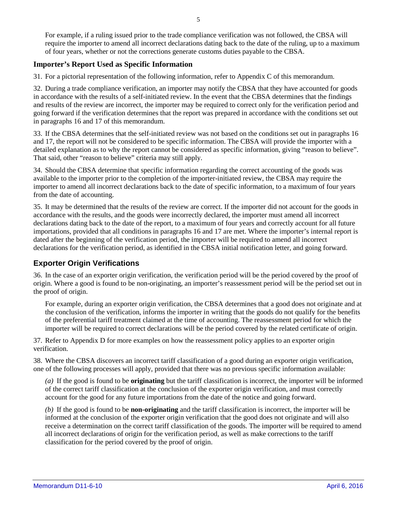For example, if a ruling issued prior to the trade compliance verification was not followed, the CBSA will require the importer to amend all incorrect declarations dating back to the date of the ruling, up to a maximum of four years, whether or not the corrections generate customs duties payable to the CBSA.

#### **Importer's Report Used as Specific Information**

31. For a pictorial representation of the following information, refer to Appendix C of this memorandum.

32. During a trade compliance verification, an importer may notify the CBSA that they have accounted for goods in accordance with the results of a self-initiated review. In the event that the CBSA determines that the findings and results of the review are incorrect, the importer may be required to correct only for the verification period and going forward if the verification determines that the report was prepared in accordance with the conditions set out in paragraphs 16 and 17 of this memorandum.

33. If the CBSA determines that the self-initiated review was not based on the conditions set out in paragraphs 16 and 17, the report will not be considered to be specific information. The CBSA will provide the importer with a detailed explanation as to why the report cannot be considered as specific information, giving "reason to believe". That said, other "reason to believe" criteria may still apply.

34. Should the CBSA determine that specific information regarding the correct accounting of the goods was available to the importer prior to the completion of the importer-initiated review, the CBSA may require the importer to amend all incorrect declarations back to the date of specific information, to a maximum of four years from the date of accounting.

35. It may be determined that the results of the review are correct. If the importer did not account for the goods in accordance with the results, and the goods were incorrectly declared, the importer must amend all incorrect declarations dating back to the date of the report, to a maximum of four years and correctly account for all future importations, provided that all conditions in paragraphs 16 and 17 are met. Where the importer's internal report is dated after the beginning of the verification period, the importer will be required to amend all incorrect declarations for the verification period, as identified in the CBSA initial notification letter, and going forward.

## **Exporter Origin Verifications**

36. In the case of an exporter origin verification, the verification period will be the period covered by the proof of origin. Where a good is found to be non-originating, an importer's reassessment period will be the period set out in the proof of origin.

For example, during an exporter origin verification, the CBSA determines that a good does not originate and at the conclusion of the verification, informs the importer in writing that the goods do not qualify for the benefits of the preferential tariff treatment claimed at the time of accounting. The reassessment period for which the importer will be required to correct declarations will be the period covered by the related certificate of origin.

37. Refer to Appendix D for more examples on how the reassessment policy applies to an exporter origin verification.

38. Where the CBSA discovers an incorrect tariff classification of a good during an exporter origin verification, one of the following processes will apply, provided that there was no previous specific information available:

*(a)* If the good is found to be **originating** but the tariff classification is incorrect, the importer will be informed of the correct tariff classification at the conclusion of the exporter origin verification, and must correctly account for the good for any future importations from the date of the notice and going forward.

*(b)* If the good is found to be **non-originating** and the tariff classification is incorrect, the importer will be informed at the conclusion of the exporter origin verification that the good does not originate and will also receive a determination on the correct tariff classification of the goods. The importer will be required to amend all incorrect declarations of origin for the verification period, as well as make corrections to the tariff classification for the period covered by the proof of origin.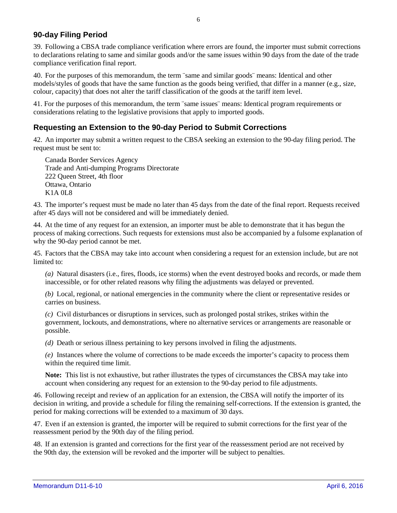## **90-day Filing Period**

39. Following a CBSA trade compliance verification where errors are found, the importer must submit corrections to declarations relating to same and similar goods and/or the same issues within 90 days from the date of the trade compliance verification final report.

40. For the purposes of this memorandum, the term ¨same and similar goods¨ means: Identical and other models/styles of goods that have the same function as the goods being verified, that differ in a manner (e.g., size, colour, capacity) that does not alter the tariff classification of the goods at the tariff item level.

41. For the purposes of this memorandum, the term ¨same issues¨ means: Identical program requirements or considerations relating to the legislative provisions that apply to imported goods.

### **Requesting an Extension to the 90-day Period to Submit Corrections**

42. An importer may submit a written request to the CBSA seeking an extension to the 90-day filing period. The request must be sent to:

Canada Border Services Agency Trade and Anti-dumping Programs Directorate 222 Queen Street, 4th floor Ottawa, Ontario K1A 0L8

43. The importer's request must be made no later than 45 days from the date of the final report. Requests received after 45 days will not be considered and will be immediately denied.

44. At the time of any request for an extension, an importer must be able to demonstrate that it has begun the process of making corrections. Such requests for extensions must also be accompanied by a fulsome explanation of why the 90-day period cannot be met.

45. Factors that the CBSA may take into account when considering a request for an extension include, but are not limited to:

*(a)* Natural disasters (i.e., fires, floods, ice storms) when the event destroyed books and records, or made them inaccessible, or for other related reasons why filing the adjustments was delayed or prevented.

*(b)* Local, regional, or national emergencies in the community where the client or representative resides or carries on business.

*(c)* Civil disturbances or disruptions in services, such as prolonged postal strikes, strikes within the government, lockouts, and demonstrations, where no alternative services or arrangements are reasonable or possible.

*(d)* Death or serious illness pertaining to key persons involved in filing the adjustments.

*(e)* Instances where the volume of corrections to be made exceeds the importer's capacity to process them within the required time limit.

**Note:** This list is not exhaustive, but rather illustrates the types of circumstances the CBSA may take into account when considering any request for an extension to the 90-day period to file adjustments.

46. Following receipt and review of an application for an extension, the CBSA will notify the importer of its decision in writing, and provide a schedule for filing the remaining self-corrections. If the extension is granted, the period for making corrections will be extended to a maximum of 30 days.

47. Even if an extension is granted, the importer will be required to submit corrections for the first year of the reassessment period by the 90th day of the filing period.

48. If an extension is granted and corrections for the first year of the reassessment period are not received by the 90th day, the extension will be revoked and the importer will be subject to penalties.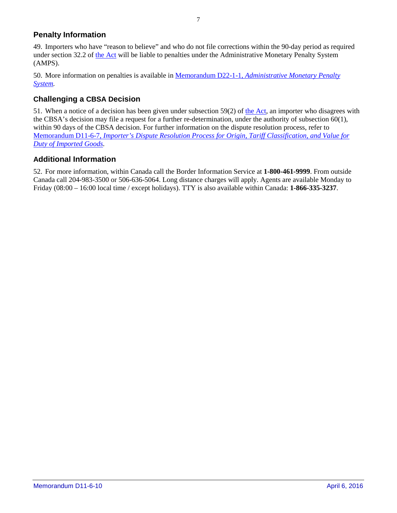## **Penalty Information**

49. Importers who have "reason to believe" and who do not file corrections within the 90-day period as required under section 32.2 of [the Act](http://laws-lois.justice.gc.ca/eng/acts/C-52.6/FullText.html) will be liable to penalties under the Administrative Monetary Penalty System (AMPS).

50. More information on penalties is available in Memorandum D22-1-1, *[Administrative Monetary Penalty](http://www.cbsa-asfc.gc.ca/publications/dm-md/d22/d22-1-1-eng.html)  [System.](http://www.cbsa-asfc.gc.ca/publications/dm-md/d22/d22-1-1-eng.html)*

## **Challenging a CBSA Decision**

51. When a notice of a decision has been given under subsection 59(2) of [the Act,](http://laws-lois.justice.gc.ca/eng/acts/C-52.6/FullText.html) an importer who disagrees with the CBSA's decision may file a request for a further re-determination, under the authority of subsection 60(1), within 90 days of the CBSA decision. For further information on the dispute resolution process, refer to Memorandum D11-6-7, *[Importer's Dispute Resolution Process for Origin, Tariff Classification, and Value for](http://www.cbsa-asfc.gc.ca/publications/dm-md/d11/d11-6-7-eng.html)  [Duty of Imported Goods.](http://www.cbsa-asfc.gc.ca/publications/dm-md/d11/d11-6-7-eng.html)*

## **Additional Information**

52. For more information, within Canada call the Border Information Service at **1-800-461-9999**. From outside Canada call 204-983-3500 or 506-636-5064. Long distance charges will apply. Agents are available Monday to Friday (08:00 – 16:00 local time / except holidays). TTY is also available within Canada: **1-866-335-3237**.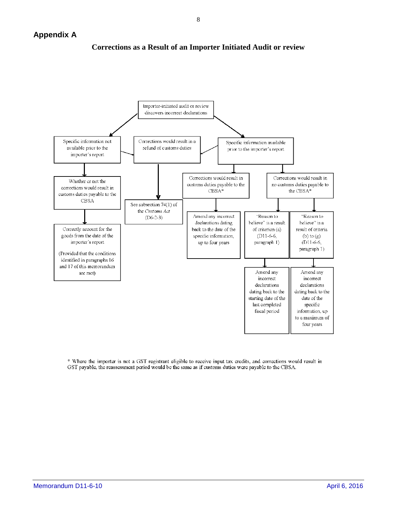

#### **Corrections as a Result of an Importer Initiated Audit or review**

\* Where the importer is not a GST registrant eligible to receive input tax credits, and corrections would result in GST payable, the reassessment period would be the same as if customs duties were payable to the CBSA.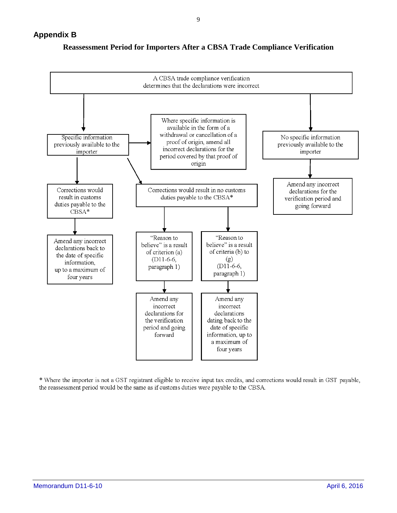

## **Reassessment Period for Importers After a CBSA Trade Compliance Verification**

\* Where the importer is not a GST registrant eligible to receive input tax credits, and corrections would result in GST payable, the reassessment period would be the same as if customs duties were payable to the CBSA.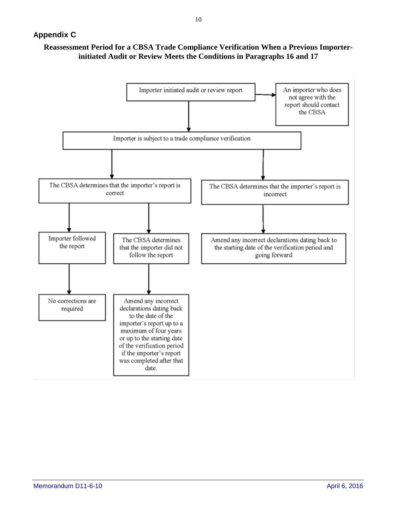## **Reassessment Period for a CBSA Trade Compliance Verification When a Previous Importerinitiated Audit or Review Meets the Conditions in Paragraphs 16 and 17**

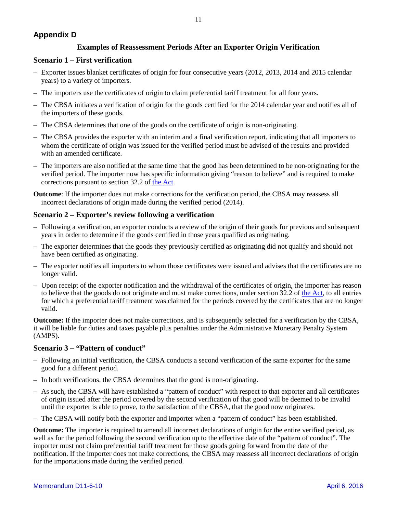## **Appendix D**

#### **Examples of Reassessment Periods After an Exporter Origin Verification**

#### **Scenario 1 – First verification**

- Exporter issues blanket certificates of origin for four consecutive years (2012, 2013, 2014 and 2015 calendar years) to a variety of importers.
- The importers use the certificates of origin to claim preferential tariff treatment for all four years.
- The CBSA initiates a verification of origin for the goods certified for the 2014 calendar year and notifies all of the importers of these goods.
- The CBSA determines that one of the goods on the certificate of origin is non-originating.
- The CBSA provides the exporter with an interim and a final verification report, indicating that all importers to whom the certificate of origin was issued for the verified period must be advised of the results and provided with an amended certificate.
- The importers are also notified at the same time that the good has been determined to be non-originating for the verified period. The importer now has specific information giving "reason to believe" and is required to make corrections pursuant to section 32.2 of [the Act.](http://laws-lois.justice.gc.ca/eng/acts/C-52.6/FullText.html)

**Outcome**: If the importer does not make corrections for the verification period, the CBSA may reassess all incorrect declarations of origin made during the verified period (2014).

#### **Scenario 2 – Exporter's review following a verification**

- Following a verification, an exporter conducts a review of the origin of their goods for previous and subsequent years in order to determine if the goods certified in those years qualified as originating.
- The exporter determines that the goods they previously certified as originating did not qualify and should not have been certified as originating.
- The exporter notifies all importers to whom those certificates were issued and advises that the certificates are no longer valid.
- Upon receipt of the exporter notification and the withdrawal of the certificates of origin, the importer has reason to believe that the goods do not originate and must make corrections, under section  $32.2$  of [the Act,](http://laws-lois.justice.gc.ca/eng/acts/C-52.6/FullText.html) to all entries for which a preferential tariff treatment was claimed for the periods covered by the certificates that are no longer valid.

**Outcome:** If the importer does not make corrections, and is subsequently selected for a verification by the CBSA, it will be liable for duties and taxes payable plus penalties under the Administrative Monetary Penalty System (AMPS).

#### **Scenario 3 – "Pattern of conduct"**

- Following an initial verification, the CBSA conducts a second verification of the same exporter for the same good for a different period.
- In both verifications, the CBSA determines that the good is non-originating.
- As such, the CBSA will have established a "pattern of conduct" with respect to that exporter and all certificates of origin issued after the period covered by the second verification of that good will be deemed to be invalid until the exporter is able to prove, to the satisfaction of the CBSA, that the good now originates.
- The CBSA will notify both the exporter and importer when a "pattern of conduct" has been established.

**Outcome:** The importer is required to amend all incorrect declarations of origin for the entire verified period, as well as for the period following the second verification up to the effective date of the "pattern of conduct". The importer must not claim preferential tariff treatment for those goods going forward from the date of the notification. If the importer does not make corrections, the CBSA may reassess all incorrect declarations of origin for the importations made during the verified period.